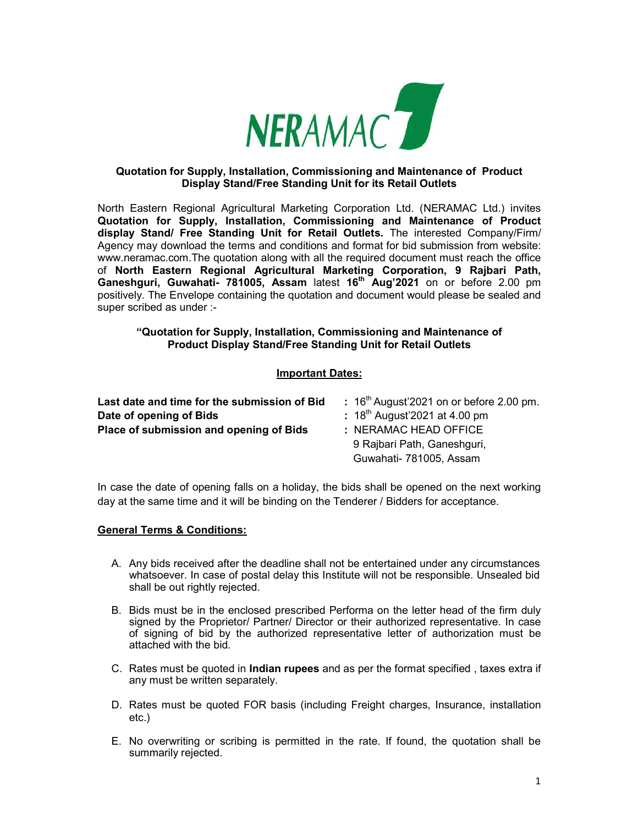

### Quotation for Supply, Installation, Commissioning and Maintenance of Product Display Stand/Free Standing Unit for its Retail Outlets

North Eastern Regional Agricultural Marketing Corporation Ltd. (NERAMAC Ltd.) invites Quotation for Supply, Installation, Commissioning and Maintenance of Product display Stand/ Free Standing Unit for Retail Outlets. The interested Company/Firm/ Agency may download the terms and conditions and format for bid submission from website: www.neramac.com.The quotation along with all the required document must reach the office of North Eastern Regional Agricultural Marketing Corporation, 9 Rajbari Path, Ganeshguri, Guwahati- 781005, Assam latest 16<sup>th</sup> Aug'2021 on or before 2.00 pm positively. The Envelope containing the quotation and document would please be sealed and super scribed as under :-

### "Quotation for Supply, Installation, Commissioning and Maintenance of Product Display Stand/Free Standing Unit for Retail Outlets

## Important Dates:

| Last date and time for the submission of Bid | : $16th$ August'2021 on or before 2.00 pm. |  |  |
|----------------------------------------------|--------------------------------------------|--|--|
| Date of opening of Bids                      | : $18^{th}$ August 2021 at 4.00 pm         |  |  |
| Place of submission and opening of Bids      | : NERAMAC HEAD OFFICE                      |  |  |
|                                              | 9 Rajbari Path, Ganeshguri,                |  |  |
|                                              | Guwahati- 781005, Assam                    |  |  |

In case the date of opening falls on a holiday, the bids shall be opened on the next working day at the same time and it will be binding on the Tenderer / Bidders for acceptance.

## General Terms & Conditions:

- A. Any bids received after the deadline shall not be entertained under any circumstances whatsoever. In case of postal delay this Institute will not be responsible. Unsealed bid shall be out rightly rejected.
- B. Bids must be in the enclosed prescribed Performa on the letter head of the firm duly signed by the Proprietor/ Partner/ Director or their authorized representative. In case of signing of bid by the authorized representative letter of authorization must be attached with the bid.
- C. Rates must be quoted in Indian rupees and as per the format specified , taxes extra if any must be written separately.
- D. Rates must be quoted FOR basis (including Freight charges, Insurance, installation etc.)
- E. No overwriting or scribing is permitted in the rate. If found, the quotation shall be summarily rejected.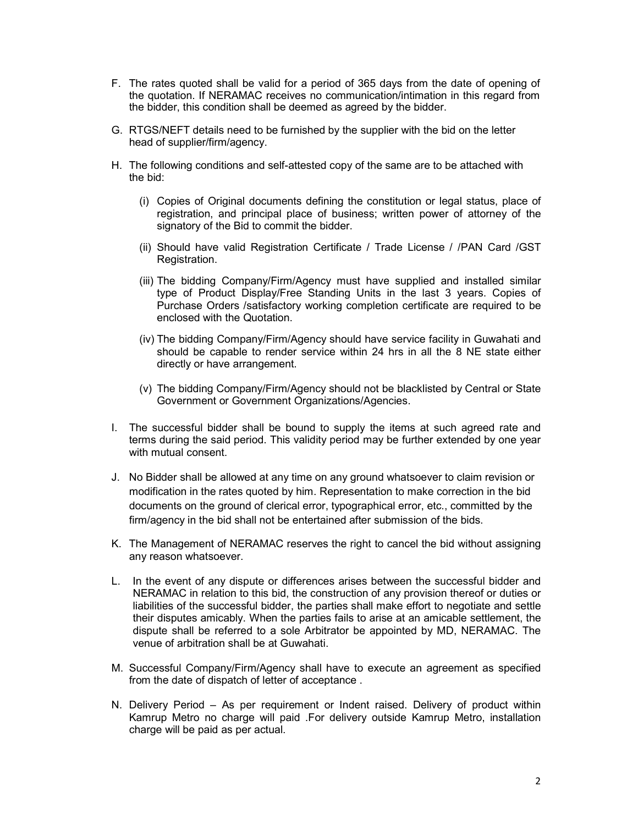- F. The rates quoted shall be valid for a period of 365 days from the date of opening of the quotation. If NERAMAC receives no communication/intimation in this regard from the bidder, this condition shall be deemed as agreed by the bidder.
- G. RTGS/NEFT details need to be furnished by the supplier with the bid on the letter head of supplier/firm/agency.
- H. The following conditions and self-attested copy of the same are to be attached with the bid:
	- (i) Copies of Original documents defining the constitution or legal status, place of registration, and principal place of business; written power of attorney of the signatory of the Bid to commit the bidder.
	- (ii) Should have valid Registration Certificate / Trade License / /PAN Card /GST Registration.
	- (iii) The bidding Company/Firm/Agency must have supplied and installed similar type of Product Display/Free Standing Units in the last 3 years. Copies of Purchase Orders /satisfactory working completion certificate are required to be enclosed with the Quotation.
	- (iv) The bidding Company/Firm/Agency should have service facility in Guwahati and should be capable to render service within 24 hrs in all the 8 NE state either directly or have arrangement.
	- (v) The bidding Company/Firm/Agency should not be blacklisted by Central or State Government or Government Organizations/Agencies.
- I. The successful bidder shall be bound to supply the items at such agreed rate and terms during the said period. This validity period may be further extended by one year with mutual consent.
- J. No Bidder shall be allowed at any time on any ground whatsoever to claim revision or modification in the rates quoted by him. Representation to make correction in the bid documents on the ground of clerical error, typographical error, etc., committed by the firm/agency in the bid shall not be entertained after submission of the bids.
- K. The Management of NERAMAC reserves the right to cancel the bid without assigning any reason whatsoever.
- L. In the event of any dispute or differences arises between the successful bidder and NERAMAC in relation to this bid, the construction of any provision thereof or duties or liabilities of the successful bidder, the parties shall make effort to negotiate and settle their disputes amicably. When the parties fails to arise at an amicable settlement, the dispute shall be referred to a sole Arbitrator be appointed by MD, NERAMAC. The venue of arbitration shall be at Guwahati.
- M. Successful Company/Firm/Agency shall have to execute an agreement as specified from the date of dispatch of letter of acceptance .
- N. Delivery Period As per requirement or Indent raised. Delivery of product within Kamrup Metro no charge will paid .For delivery outside Kamrup Metro, installation charge will be paid as per actual.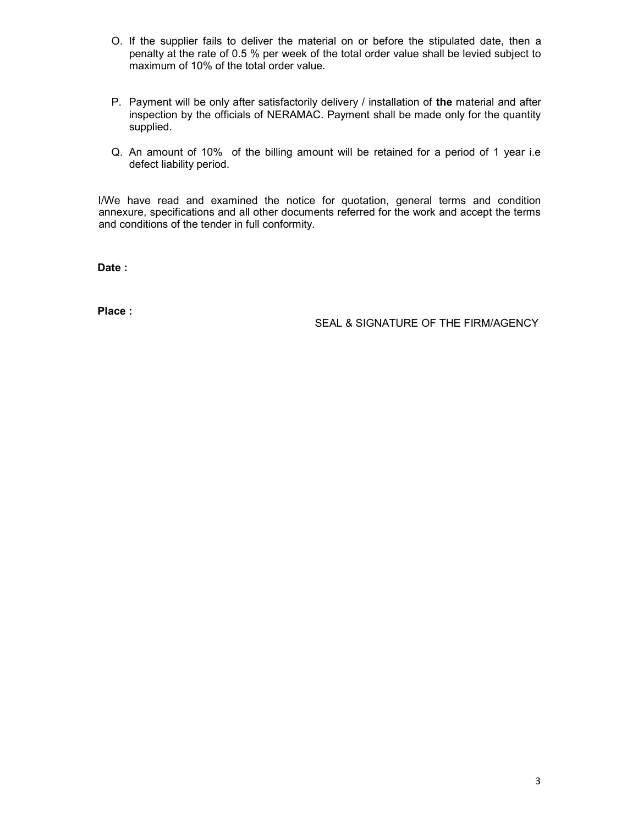- O. If the supplier fails to deliver the material on or before the stipulated date, then a penalty at the rate of 0.5 % per week of the total order value shall be levied subject to maximum of 10% of the total order value.
- P. Payment will be only after satisfactorily delivery / installation of the material and after inspection by the officials of NERAMAC. Payment shall be made only for the quantity supplied.
- Q. An amount of 10% of the billing amount will be retained for a period of 1 year i.e defect liability period.

I/We have read and examined the notice for quotation, general terms and condition annexure, specifications and all other documents referred for the work and accept the terms and conditions of the tender in full conformity.

Date :

Place :

SEAL & SIGNATURE OF THE FIRM/AGENCY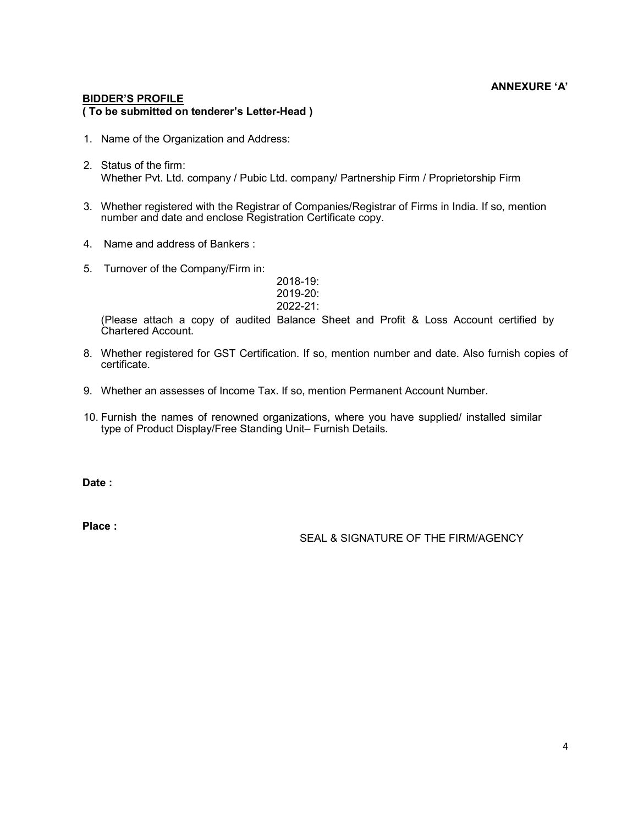## ANNEXURE 'A'

#### BIDDER'S PROFILE ( To be submitted on tenderer's Letter-Head )

- 1. Name of the Organization and Address:
- 2. Status of the firm: Whether Pvt. Ltd. company / Pubic Ltd. company/ Partnership Firm / Proprietorship Firm
- 3. Whether registered with the Registrar of Companies/Registrar of Firms in India. If so, mention number and date and enclose Registration Certificate copy.
- 4. Name and address of Bankers :
- 5. Turnover of the Company/Firm in:

| $2018 - 19$ : |
|---------------|
| $2019 - 20$ : |
| $2022 - 21$ : |

(Please attach a copy of audited Balance Sheet and Profit & Loss Account certified by Chartered Account.

- 8. Whether registered for GST Certification. If so, mention number and date. Also furnish copies of certificate.
- 9. Whether an assesses of Income Tax. If so, mention Permanent Account Number.
- 10. Furnish the names of renowned organizations, where you have supplied/ installed similar type of Product Display/Free Standing Unit– Furnish Details.

Date:

Place :

SEAL & SIGNATURE OF THE FIRM/AGENCY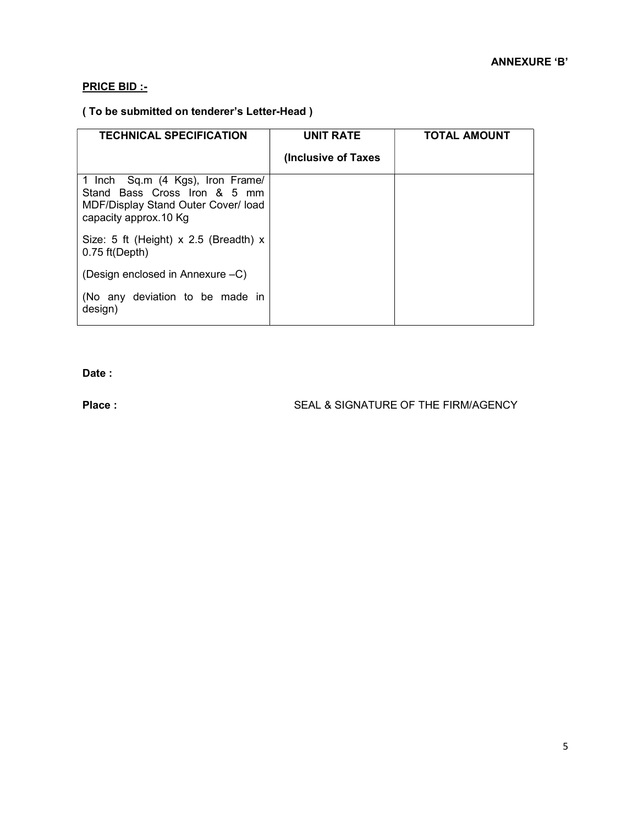# PRICE BID :-

# ( To be submitted on tenderer's Letter-Head )

| <b>TECHNICAL SPECIFICATION</b>                                                                                                   | <b>UNIT RATE</b>     | <b>TOTAL AMOUNT</b> |
|----------------------------------------------------------------------------------------------------------------------------------|----------------------|---------------------|
|                                                                                                                                  | (Inclusive of Taxes) |                     |
| 1 Inch Sq.m (4 Kgs), Iron Frame/<br>Stand Bass Cross Iron & 5 mm<br>MDF/Display Stand Outer Cover/ load<br>capacity approx.10 Kg |                      |                     |
| Size: 5 ft (Height) $x$ 2.5 (Breadth) $x$<br>$0.75$ ft(Depth)                                                                    |                      |                     |
| (Design enclosed in Annexure –C)                                                                                                 |                      |                     |
| (No any deviation to be made in<br>design)                                                                                       |                      |                     |

Date :

### Place : SEAL & SIGNATURE OF THE FIRM/AGENCY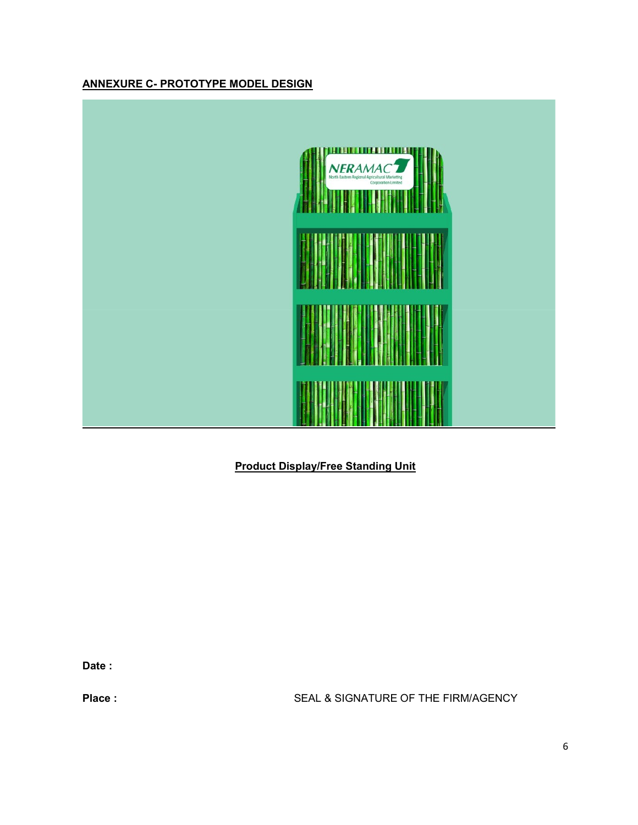# ANNEXURE C- PROTOTYPE MODEL DESIGN



# Product Display/Free Standing Unit

Date :

Place : SEAL & SIGNATURE OF THE FIRM/AGENCY